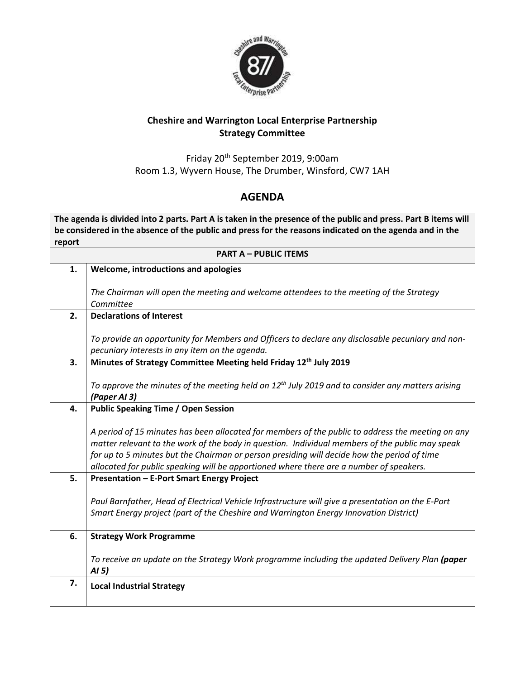

## **Cheshire and Warrington Local Enterprise Partnership Strategy Committee**

Friday 20th September 2019, 9:00am Room 1.3, Wyvern House, The Drumber, Winsford, CW7 1AH

## **AGENDA**

**The agenda is divided into 2 parts. Part A is taken in the presence of the public and press. Part B items will be considered in the absence of the public and press for the reasons indicated on the agenda and in the report**

| <b>PART A - PUBLIC ITEMS</b> |                                                                                                                                                                                                                                                                                                                                                                                                |  |
|------------------------------|------------------------------------------------------------------------------------------------------------------------------------------------------------------------------------------------------------------------------------------------------------------------------------------------------------------------------------------------------------------------------------------------|--|
| 1.                           | Welcome, introductions and apologies                                                                                                                                                                                                                                                                                                                                                           |  |
|                              | The Chairman will open the meeting and welcome attendees to the meeting of the Strategy<br>Committee                                                                                                                                                                                                                                                                                           |  |
| 2.                           | <b>Declarations of Interest</b>                                                                                                                                                                                                                                                                                                                                                                |  |
|                              | To provide an opportunity for Members and Officers to declare any disclosable pecuniary and non-<br>pecuniary interests in any item on the agenda.                                                                                                                                                                                                                                             |  |
| 3.                           | Minutes of Strategy Committee Meeting held Friday 12th July 2019                                                                                                                                                                                                                                                                                                                               |  |
|                              | To approve the minutes of the meeting held on $12^{th}$ July 2019 and to consider any matters arising<br>(Paper AI 3)                                                                                                                                                                                                                                                                          |  |
| 4.                           | <b>Public Speaking Time / Open Session</b>                                                                                                                                                                                                                                                                                                                                                     |  |
|                              | A period of 15 minutes has been allocated for members of the public to address the meeting on any<br>matter relevant to the work of the body in question. Individual members of the public may speak<br>for up to 5 minutes but the Chairman or person presiding will decide how the period of time<br>allocated for public speaking will be apportioned where there are a number of speakers. |  |
| 5.                           | <b>Presentation - E-Port Smart Energy Project</b>                                                                                                                                                                                                                                                                                                                                              |  |
|                              | Paul Barnfather, Head of Electrical Vehicle Infrastructure will give a presentation on the E-Port<br>Smart Energy project (part of the Cheshire and Warrington Energy Innovation District)                                                                                                                                                                                                     |  |
| 6.                           | <b>Strategy Work Programme</b>                                                                                                                                                                                                                                                                                                                                                                 |  |
|                              | To receive an update on the Strategy Work programme including the updated Delivery Plan (paper<br>AI <sub>5</sub>                                                                                                                                                                                                                                                                              |  |
| 7.                           | <b>Local Industrial Strategy</b>                                                                                                                                                                                                                                                                                                                                                               |  |